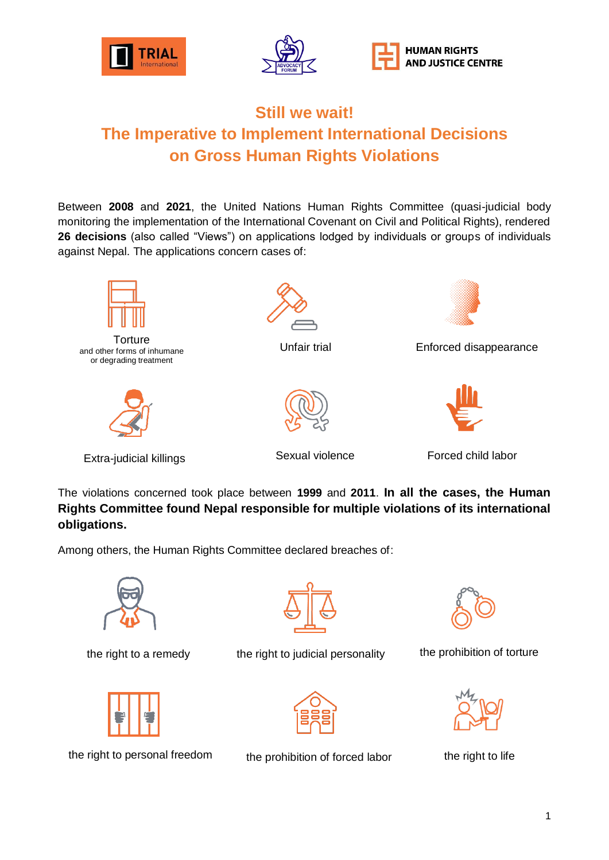





## **Still we wait! The Imperative to Implement International Decisions on Gross Human Rights Violations**

Between **2008** and **2021**, the United Nations Human Rights Committee (quasi-judicial body monitoring the implementation of the International Covenant on Civil and Political Rights), rendered **26 decisions** (also called "Views") on applications lodged by individuals or groups of individuals against Nepal. The applications concern cases of:



**Torture** and other forms of inhumane or degrading treatment



Extra-judicial killings **Extra-judicial killings** Sexual violence **Forced child labor** 





Unfair trial Enforced disappearance





The violations concerned took place between **1999** and **2011**. **In all the cases, the Human Rights Committee found Nepal responsible for multiple violations of its international obligations.**

Among others, the Human Rights Committee declared breaches of:





the right to personal freedom the prohibition of forced labor



the right to a remedy entime right to judicial personality and the prohibition of torture







the right to life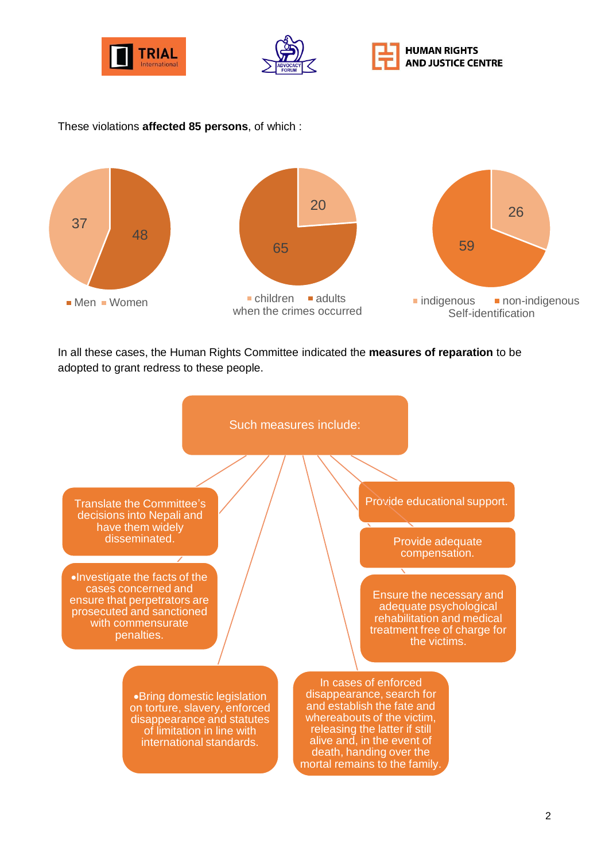



## These violations **affected 85 persons**, of which :



In all these cases, the Human Rights Committee indicated the **measures of reparation** to be adopted to grant redress to these people.

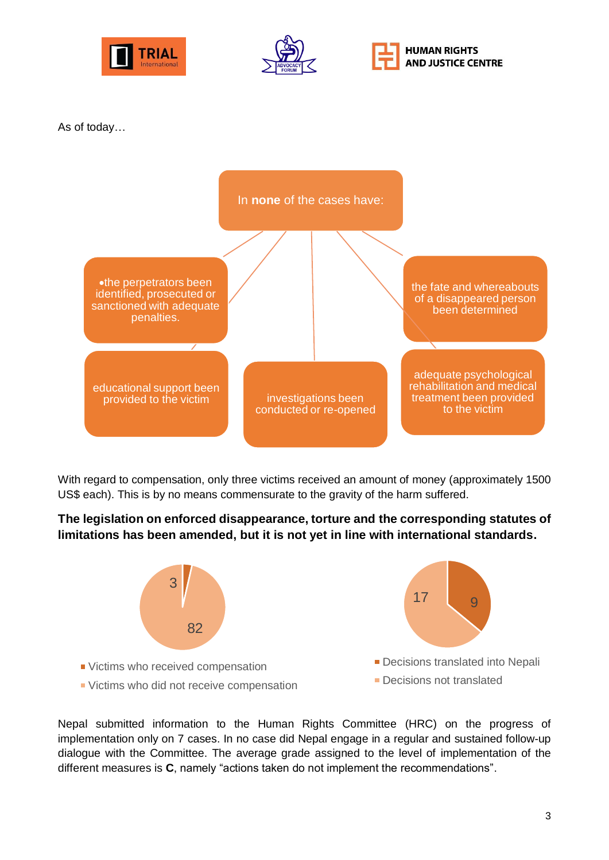





As of today…



With regard to compensation, only three victims received an amount of money (approximately 1500 US\$ each). This is by no means commensurate to the gravity of the harm suffered.

**The legislation on enforced disappearance, torture and the corresponding statutes of limitations has been amended, but it is not yet in line with international standards.**



Nepal submitted information to the Human Rights Committee (HRC) on the progress of implementation only on 7 cases. In no case did Nepal engage in a regular and sustained follow-up dialogue with the Committee. The average grade assigned to the level of implementation of the different measures is **C**, namely "actions taken do not implement the recommendations".